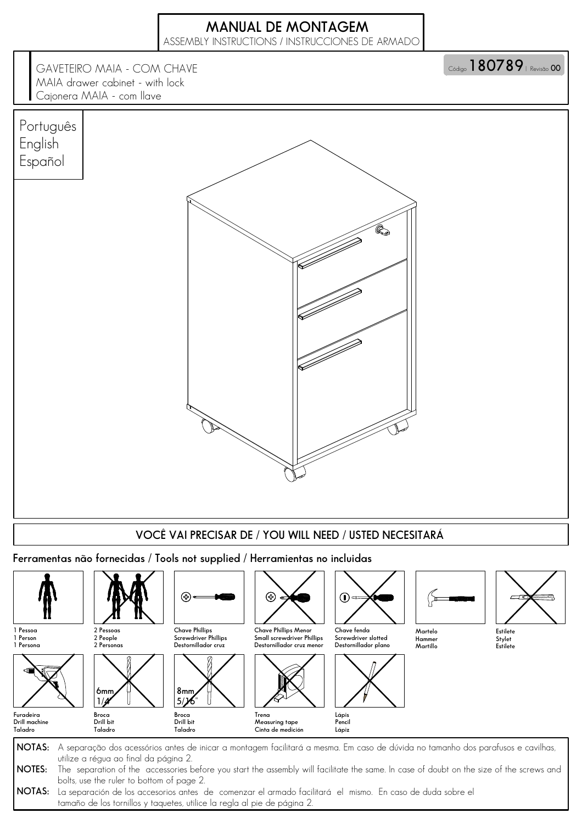## MANUAL DE MONTAGEM

ASSEMBLY INSTRUCTIONS / INSTRUCCIONES DE ARMADO

Código 180789 | Revisão 00

GAVETEIRO MAIA - COM CHAVE MAIA drawer cabinet - with lock Cajonera MAIA - com llave



NOTAS: La separación de los accesorios antes de comenzar el armado facilitará el mismo. En caso de duda sobre el tamaño de los tornillos y taquetes, utilice la regla al pie de página 2.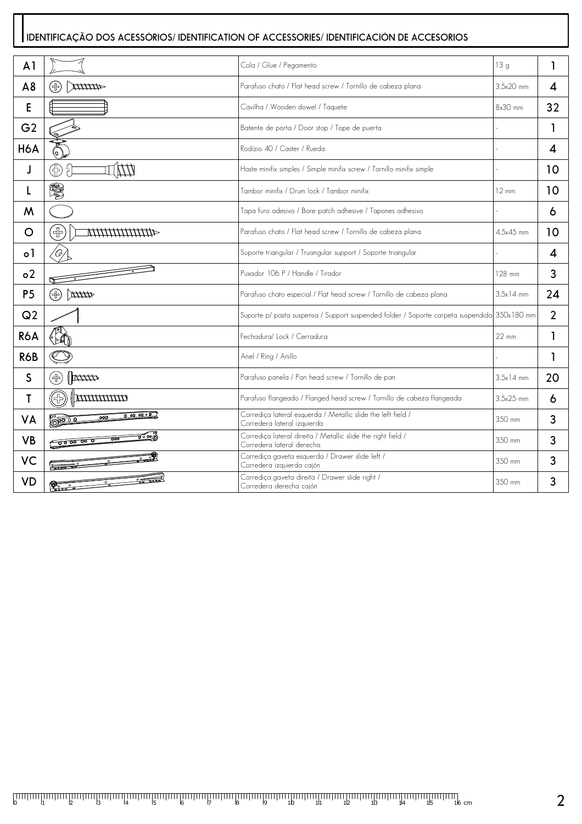## IDENTIFICAÇÃO DOS ACESSÓRIOS/ IDENTIFICATION OF ACCESSORIES/ IDENTIFICACIÓN DE ACCESORIOS

| A <sub>1</sub> |                                            | Cola / Glue / Pegamento                                                                      | 13g             | 1                          |
|----------------|--------------------------------------------|----------------------------------------------------------------------------------------------|-----------------|----------------------------|
| A8             | ⊕<br>44444X                                | Parafuso chato / Flat head screw / Tornillo de cabeza plana                                  | 3.5x20 mm       | $\boldsymbol{\mathcal{A}}$ |
| E              |                                            | Cavilha / Wooden dowel / Taquete                                                             | 8x30 mm         | 32                         |
| G <sub>2</sub> |                                            | Batente de porta / Door stop / Tope de puerta                                                |                 | 1                          |
| <b>H6A</b>     |                                            | Rodízio 40 / Caster / Rueda                                                                  |                 | 4                          |
| J              | ⊕<br>۶Ì                                    | Haste minifix simples / Simple minifix screw / Tornillo minifix simple                       |                 | 10                         |
| L              | S,                                         | Tambor minifix / Drum lock / Tambor minifix                                                  | $12 \text{ mm}$ | 10                         |
| M              |                                            | Tapa furo adesivo / Bore patch adhesive / Tapones adhesivo                                   |                 | 6                          |
| O              | $\widetilde{\mathbb{F}}$                   | Parafuso chato / Flat head screw / Tornillo de cabeza plana                                  | 4.5x45 mm       | 10                         |
| $\circ$        | '0,                                        | Suporte triangular / Truangular support / Soporte triangular                                 |                 | 4                          |
| 0 <sup>2</sup> |                                            | Puxador 106 P / Handle / Tirador                                                             | 128 mm          | 3                          |
| P <sub>5</sub> | (4)<br>44HL                                | Parafuso chato especial / Flat head screw / Tornillo de cabeza plana                         | $3.5x14$ mm     | 24                         |
| Q <sub>2</sub> |                                            | Suporte p/ pasta suspensa / Support suspended folder / Soporte carpeta suspendida 350x180 mm |                 | $\overline{2}$             |
| <b>R6A</b>     |                                            | Fechadura/ Lock / Cerradura                                                                  | $22 \text{ mm}$ | 1                          |
| <b>R6B</b>     |                                            | Anel / Ring / Anillo                                                                         |                 | 1                          |
| S              | $\mathbb{R}$<br>$\left(\frac{1}{2}\right)$ | Parafuso panela / Pan head screw / Tornillo de pan                                           | $3.5x14$ mm     | 20                         |
| Т              | (사)<br><i><b>MMMMM</b></i>                 | Parafuso flangeado / Flanged head screw / Tornillo de cabeza flangeada                       | $3.5x25$ mm     | 6                          |
| <b>VA</b>      | 0.000000<br>000<br>ႜႜၜၟၜၜ                  | Corrediça lateral esquerda / Metallic slide the left field /<br>Corredera lateral izquierda  | 350 mm          | 3                          |
| <b>VB</b>      | ಕ್∘∞⊚<br>000<br>~ 0000 00 0                | Corrediça lateral direita / Metallic slide the right field /<br>Corredera lateral derecha    | 350 mm          | 3                          |
| VC             | $-0.000$                                   | Corrediça gaveta esquerda / Drawer slide left /<br>Corredera izquierda cajón                 | 350 mm          | 3                          |
| <b>VD</b>      |                                            | Corrediça gaveta direita / Drawer slide right /<br>Corredera derecha cajón                   | 350 mm          | 3                          |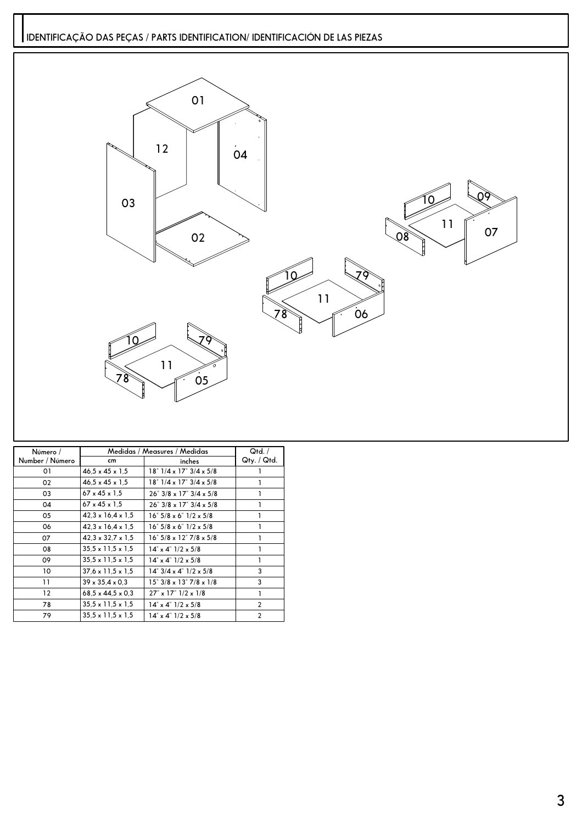## IDENTIFICAÇÃO DAS PEÇAS / PARTS IDENTIFICATION/ IDENTIFICACIÓN DE LAS PIEZAS



| Número /          | Medidas / Measures / Medidas  | Qtd. /                                                |                |
|-------------------|-------------------------------|-------------------------------------------------------|----------------|
| Number / Número   | cm                            | inches                                                | Qty. / Qtd.    |
| 01                | $46.5 \times 45 \times 1.5$   | $18^{\circ}$ $1/4 \times 17^{\circ}$ $3/4 \times 5/8$ |                |
| 02                | $46.5 \times 45 \times 1.5$   | 18" 1/4 x 17" 3/4 x 5/8                               |                |
| 03                | $67 \times 45 \times 1.5$     | $26"$ 3/8 x 17" 3/4 x 5/8                             |                |
| 04                | $67 \times 45 \times 1.5$     | $26$ " $3/8 \times 17$ " $3/4 \times 5/8$             |                |
| 05                | $42.3 \times 16.4 \times 1.5$ | $16" 5/8 \times 6" 1/2 \times 5/8$                    |                |
| 06                | $42.3 \times 16.4 \times 1.5$ | $16" 5/8 \times 6" 1/2 \times 5/8$                    |                |
| 07                | $42.3 \times 32.7 \times 1.5$ | 16" 5/8 x 12" 7/8 x 5/8                               |                |
| 08                | $35.5 \times 11.5 \times 1.5$ | $14^{\circ} \times 4^{\circ}$ $1/2 \times 5/8$        |                |
| 09                | $35.5 \times 11.5 \times 1.5$ | $14^{\circ} \times 4^{\circ}$ $1/2 \times 5/8$        |                |
| 10                | $37.6 \times 11.5 \times 1.5$ | $14^{\circ}$ 3/4 x 4 $^{\circ}$ 1/2 x 5/8             | 3              |
| 11                | $39 \times 35.4 \times 0.3$   | 15" 3/8 x 13" 7/8 x 1/8                               | 3              |
| $12 \overline{ }$ | $68.5 \times 44.5 \times 0.3$ | $27'' \times 17''$ $1/2 \times 1/8$                   |                |
| 78                | $35.5 \times 11.5 \times 1.5$ | $14^{\circ} \times 4^{\circ}$ $1/2 \times 5/8$        | $\overline{2}$ |
| 79                | $35.5 \times 11.5 \times 1.5$ | $14^{\circ} \times 4^{\circ}$ $1/2 \times 5/8$        | $\overline{2}$ |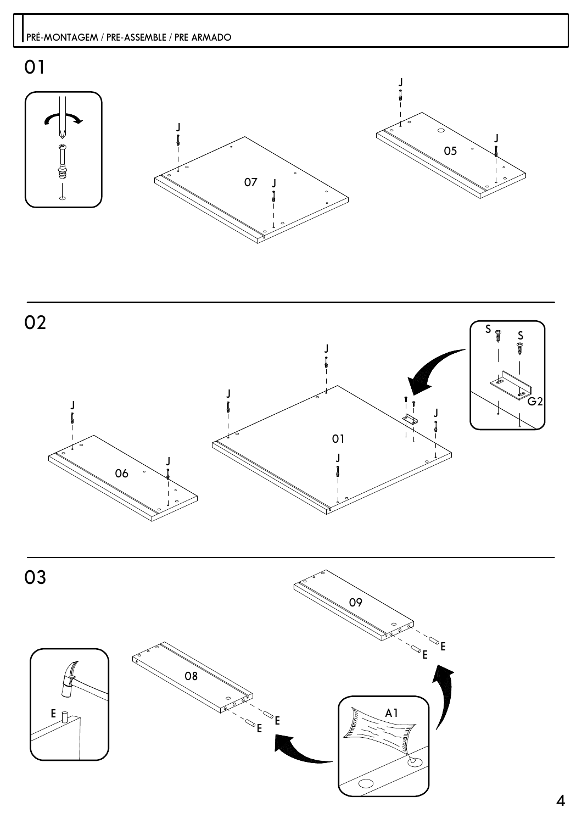

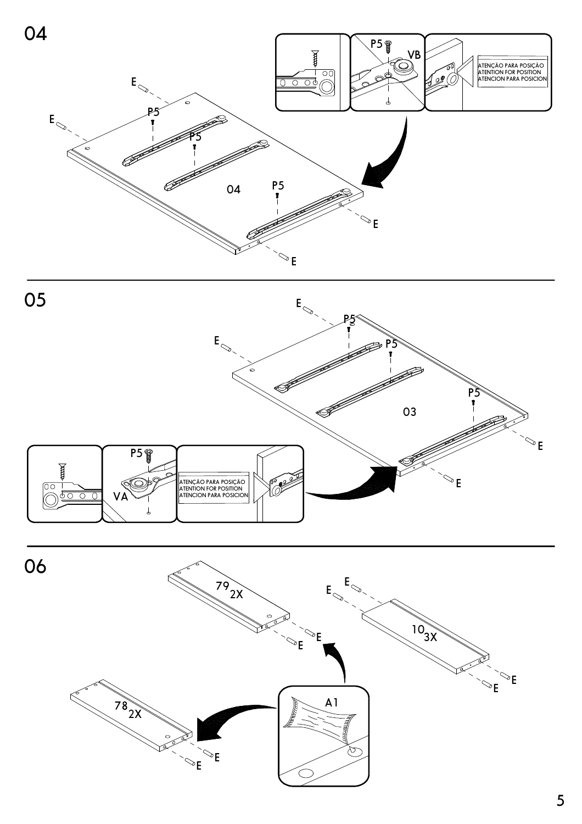



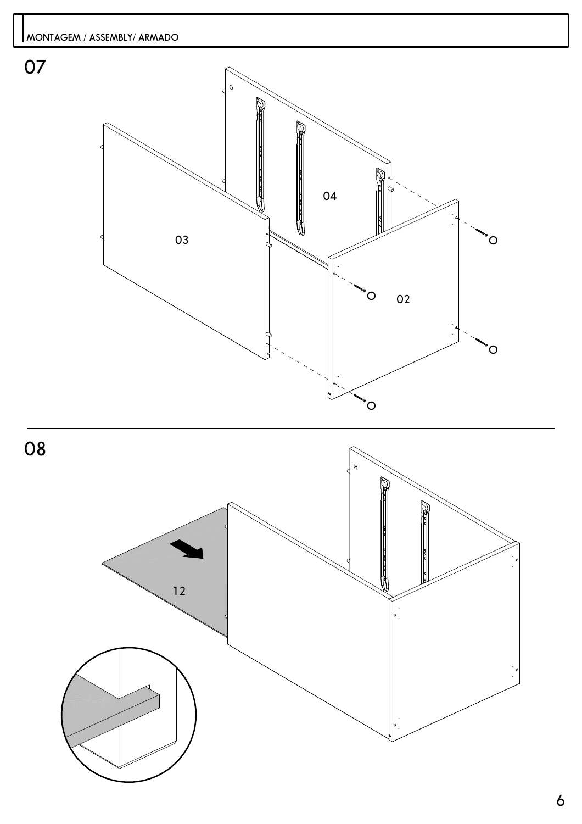



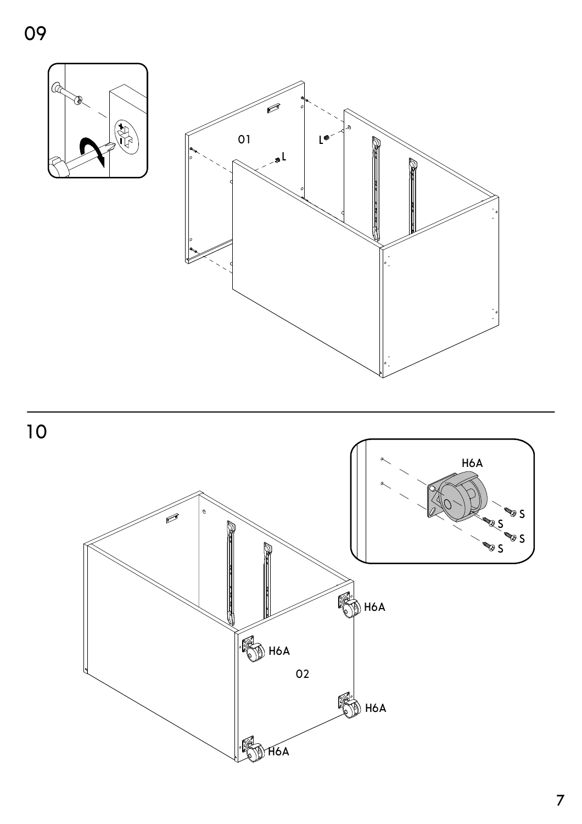





 $\overline{7}$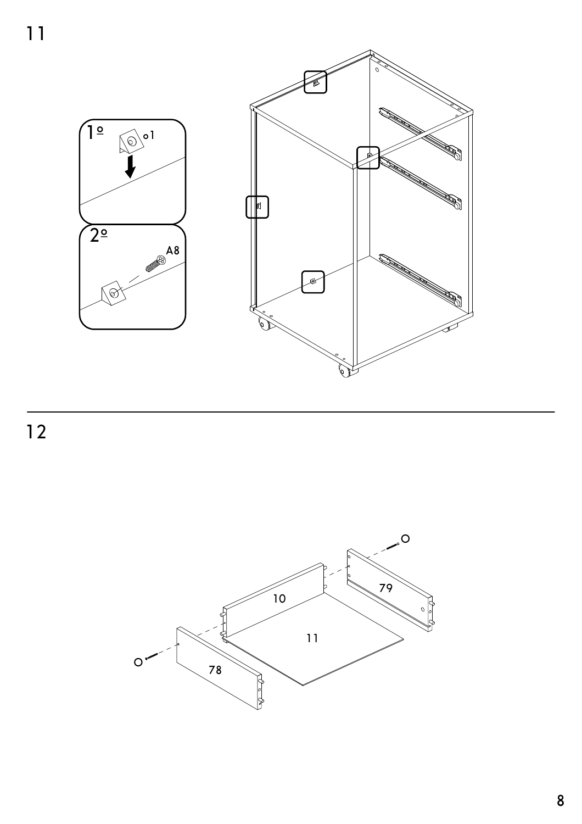$\overline{11}$ 



 $\frac{1}{2}$ 

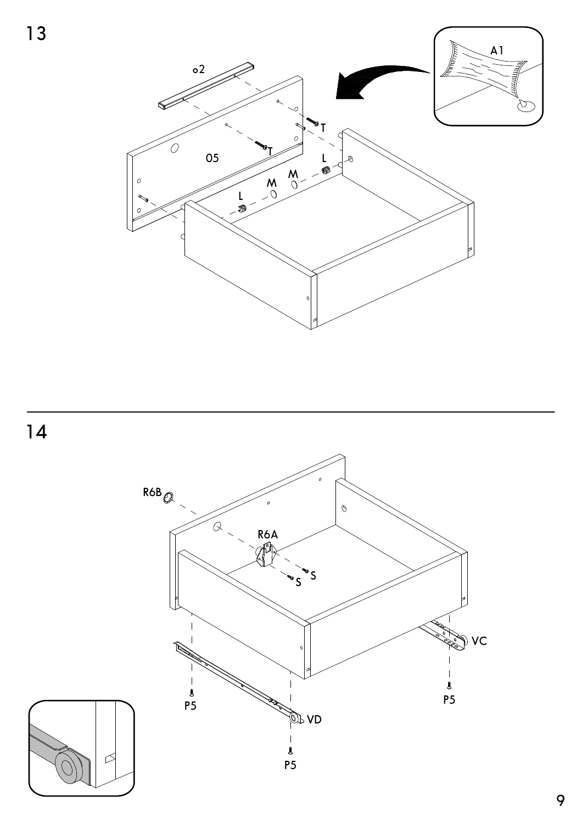13





 $\frac{8}{P5}$ 

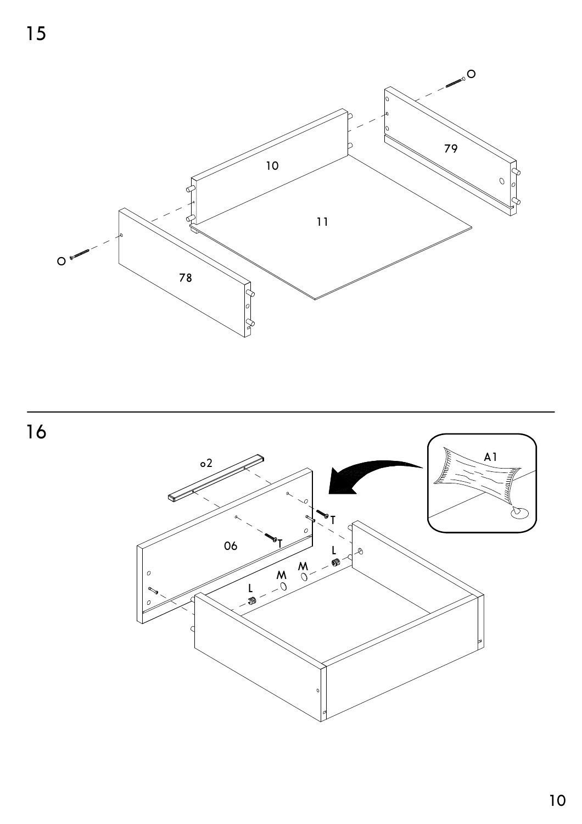

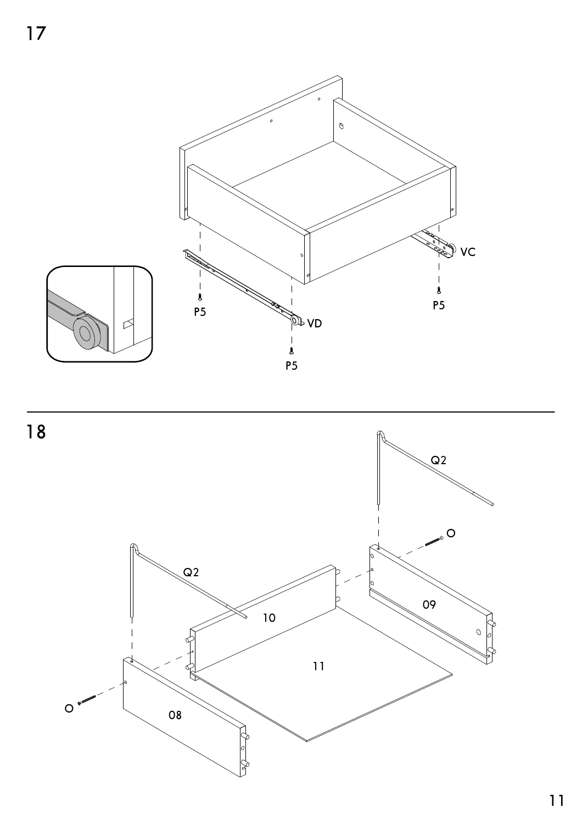



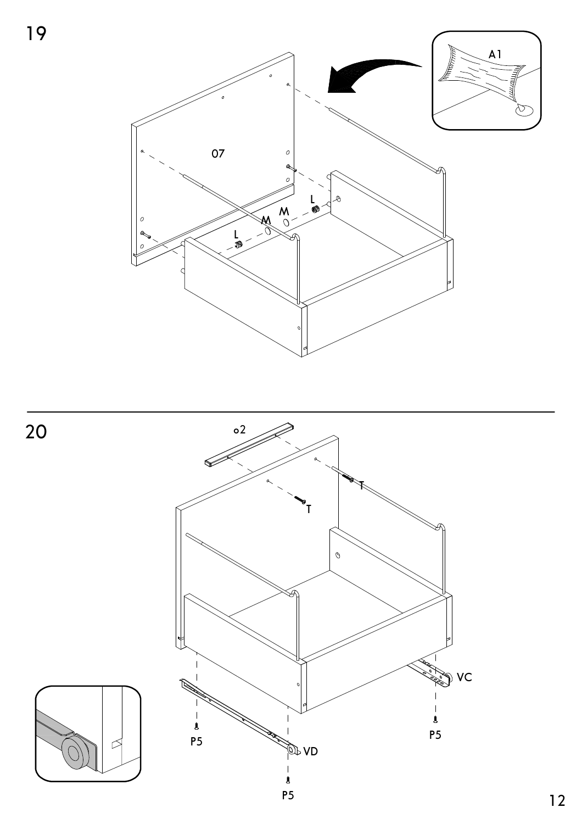